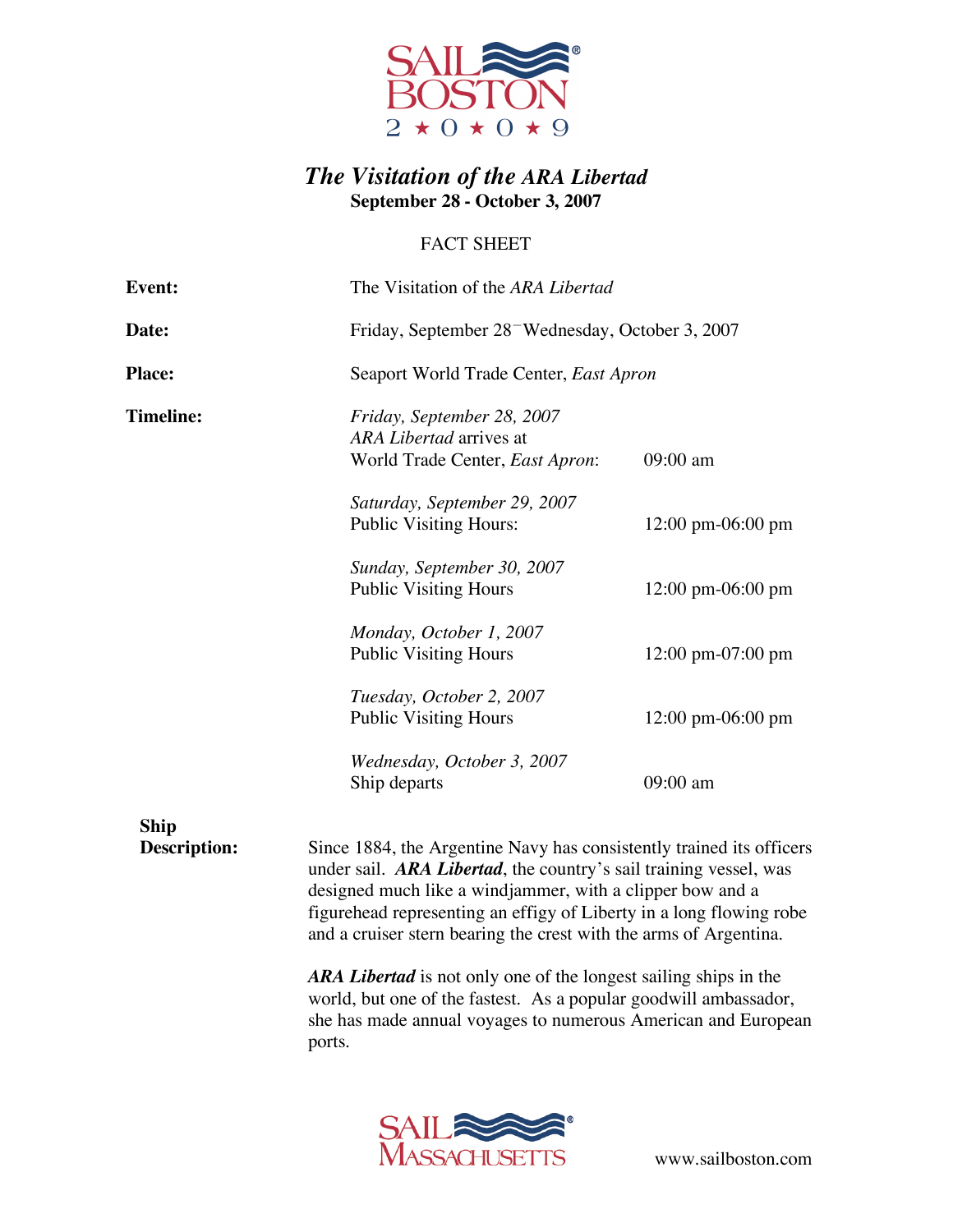

## *The Visitation of the ARA Libertad* **September 28 - October 3, 2007**

## FACT SHEET

| <b>Event:</b>               | The Visitation of the ARA Libertad                                                                                                                                                                                                                                            |                                      |
|-----------------------------|-------------------------------------------------------------------------------------------------------------------------------------------------------------------------------------------------------------------------------------------------------------------------------|--------------------------------------|
| Date:                       | Friday, September 28 <sup>-</sup> Wednesday, October 3, 2007                                                                                                                                                                                                                  |                                      |
| <b>Place:</b>               | Seaport World Trade Center, East Apron                                                                                                                                                                                                                                        |                                      |
| <b>Timeline:</b>            | Friday, September 28, 2007<br>ARA Libertad arrives at<br>World Trade Center, East Apron:                                                                                                                                                                                      | 09:00 am                             |
|                             | Saturday, September 29, 2007<br><b>Public Visiting Hours:</b>                                                                                                                                                                                                                 | $12:00 \text{ pm} -06:00 \text{ pm}$ |
|                             | Sunday, September 30, 2007<br><b>Public Visiting Hours</b>                                                                                                                                                                                                                    | $12:00 \text{ pm} -06:00 \text{ pm}$ |
|                             | Monday, October 1, 2007<br><b>Public Visiting Hours</b>                                                                                                                                                                                                                       | $12:00 \text{ pm}-07:00 \text{ pm}$  |
|                             | Tuesday, October 2, 2007<br><b>Public Visiting Hours</b>                                                                                                                                                                                                                      | $12:00 \text{ pm} -06:00 \text{ pm}$ |
|                             | Wednesday, October 3, 2007<br>Ship departs                                                                                                                                                                                                                                    | 09:00 am                             |
| <b>Ship</b><br>Description: | Since 1884, the Argentine Navy has consistently trained its officers<br>under sail. ARA Libertad, the country's sail training vessel, was<br>designed much like a windjammer, with a clipper bow and a<br>figurehead representing an effigy of Liberty in a long flowing robe |                                      |

*ARA Libertad* is not only one of the longest sailing ships in the world, but one of the fastest. As a popular goodwill ambassador, she has made annual voyages to numerous American and European ports.

and a cruiser stern bearing the crest with the arms of Argentina.



www.sailboston.com